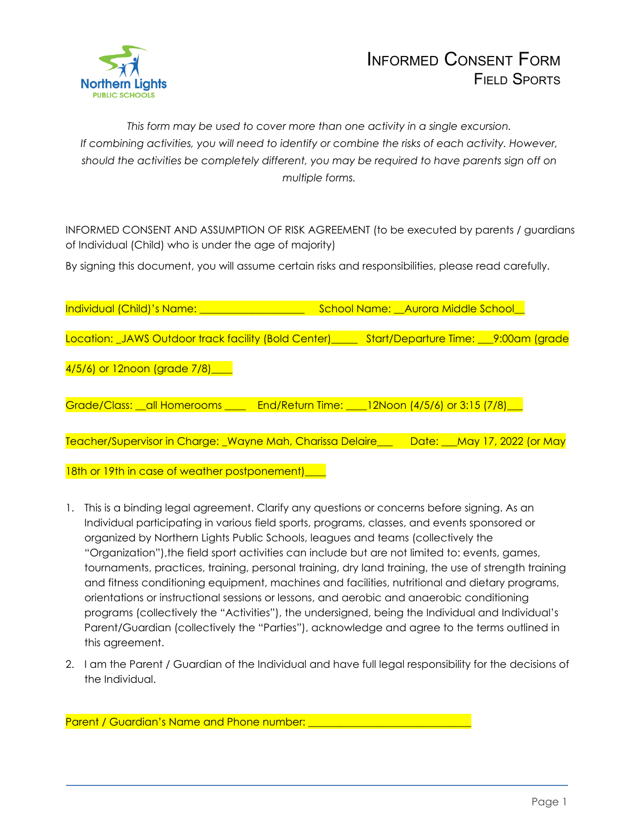

*This form may be used to cover more than one activity in a single excursion. If combining activities, you will need to identify or combine the risks of each activity. However, should the activities be completely different, you may be required to have parents sign off on multiple forms.*

INFORMED CONSENT AND ASSUMPTION OF RISK AGREEMENT (to be executed by parents / guardians of Individual (Child) who is under the age of majority)

By signing this document, you will assume certain risks and responsibilities, please read carefully.

| Individual (Child)'s Name: <b>which and interest</b>                                | School Name: Aurora Middle School   |  |
|-------------------------------------------------------------------------------------|-------------------------------------|--|
| Location: _JAWS Outdoor track facility (Bold Center) ______                         | Start/Departure Time: 9:00am (grade |  |
| 4/5/6) or 12noon (grade 7/8) ____                                                   |                                     |  |
| Grade/Class: _all Homerooms ____ End/Return Time: ___12Noon (4/5/6) or 3:15 (7/8)__ |                                     |  |
|                                                                                     |                                     |  |
| Teacher/Supervisor in Charge: Wayne Mah, Charissa Delaire                           | Date: May 17, 2022 (or May          |  |
| 18th or 19th in case of weather postponement)_                                      |                                     |  |

- 1. This is a binding legal agreement. Clarify any questions or concerns before signing. As an Individual participating in various field sports, programs, classes, and events sponsored or organized by Northern Lights Public Schools, leagues and teams (collectively the "Organization"),the field sport activities can include but are not limited to: events, games, tournaments, practices, training, personal training, dry land training, the use of strength training and fitness conditioning equipment, machines and facilities, nutritional and dietary programs, orientations or instructional sessions or lessons, and aerobic and anaerobic conditioning programs (collectively the "Activities"), the undersigned, being the Individual and Individual's Parent/Guardian (collectively the "Parties"), acknowledge and agree to the terms outlined in this agreement.
- 2. I am the Parent / Guardian of the Individual and have full legal responsibility for the decisions of the Individual.

| <b>Parent / Guardian's Name and Phone number:</b> |  |
|---------------------------------------------------|--|
|---------------------------------------------------|--|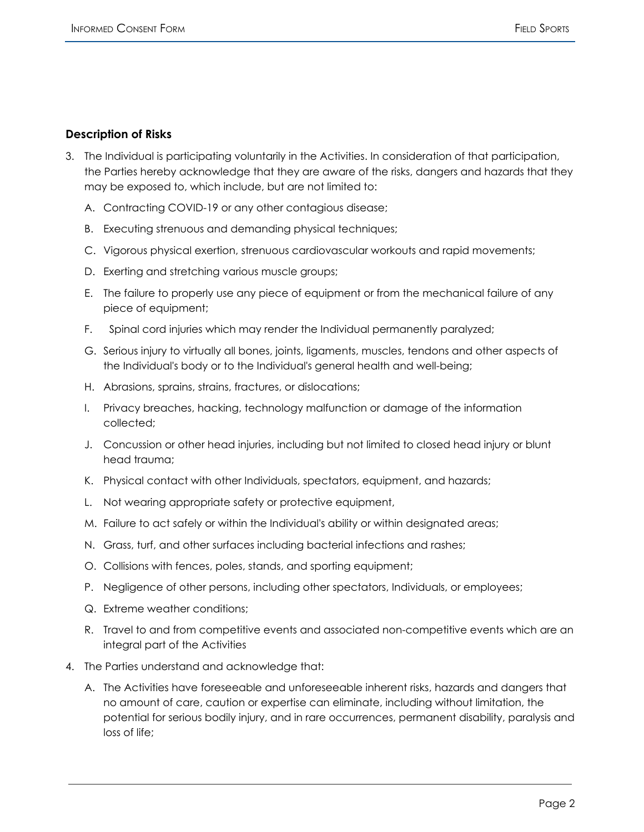## **Description of Risks**

- 3. The Individual is participating voluntarily in the Activities. In consideration of that participation, the Parties hereby acknowledge that they are aware of the risks, dangers and hazards that they may be exposed to, which include, but are not limited to:
	- A. Contracting COVID-19 or any other contagious disease;
	- B. Executing strenuous and demanding physical techniques;
	- C. Vigorous physical exertion, strenuous cardiovascular workouts and rapid movements;
	- D. Exerting and stretching various muscle groups;
	- E. The failure to properly use any piece of equipment or from the mechanical failure of any piece of equipment;
	- F. Spinal cord injuries which may render the Individual permanently paralyzed;
	- G. Serious injury to virtually all bones, joints, ligaments, muscles, tendons and other aspects of the Individual's body or to the Individual's general health and well-being;
	- H. Abrasions, sprains, strains, fractures, or dislocations;
	- I. Privacy breaches, hacking, technology malfunction or damage of the information collected;
	- J. Concussion or other head injuries, including but not limited to closed head injury or blunt head trauma;
	- K. Physical contact with other Individuals, spectators, equipment, and hazards;
	- L. Not wearing appropriate safety or protective equipment,
	- M. Failure to act safely or within the Individual's ability or within designated areas;
	- N. Grass, turf, and other surfaces including bacterial infections and rashes;
	- O. Collisions with fences, poles, stands, and sporting equipment;
	- P. Negligence of other persons, including other spectators, Individuals, or employees;
	- Q. Extreme weather conditions;
	- R. Travel to and from competitive events and associated non-competitive events which are an integral part of the Activities
- 4. The Parties understand and acknowledge that:
	- A. The Activities have foreseeable and unforeseeable inherent risks, hazards and dangers that no amount of care, caution or expertise can eliminate, including without limitation, the potential for serious bodily injury, and in rare occurrences, permanent disability, paralysis and loss of life;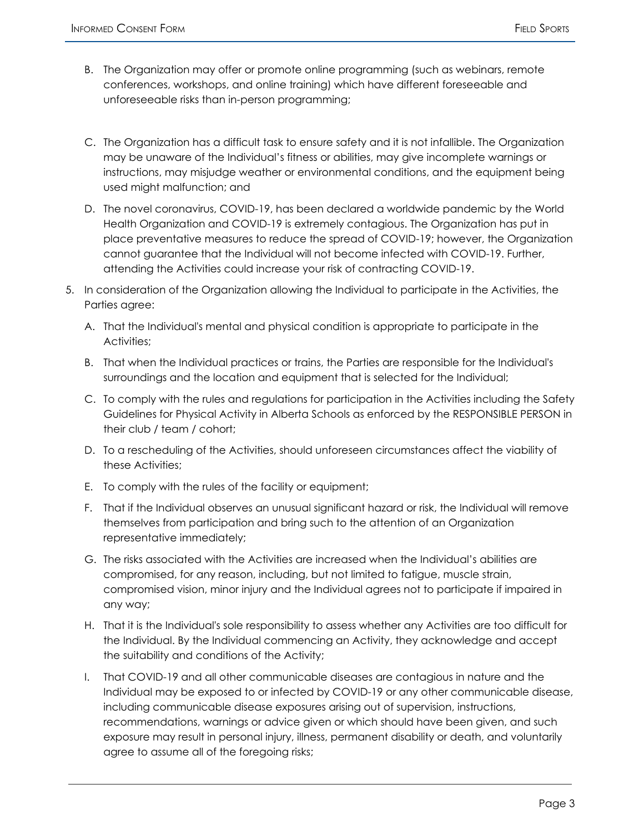- B. The Organization may offer or promote online programming (such as webinars, remote conferences, workshops, and online training) which have different foreseeable and unforeseeable risks than in-person programming;
- C. The Organization has a difficult task to ensure safety and it is not infallible. The Organization may be unaware of the Individual's fitness or abilities, may give incomplete warnings or instructions, may misjudge weather or environmental conditions, and the equipment being used might malfunction; and
- D. The novel coronavirus, COVID-19, has been declared a worldwide pandemic by the World Health Organization and COVID-19 is extremely contagious. The Organization has put in place preventative measures to reduce the spread of COVID-19; however, the Organization cannot guarantee that the Individual will not become infected with COVID-19. Further, attending the Activities could increase your risk of contracting COVID-19.
- 5. In consideration of the Organization allowing the Individual to participate in the Activities, the Parties agree:
	- A. That the Individual's mental and physical condition is appropriate to participate in the Activities;
	- B. That when the Individual practices or trains, the Parties are responsible for the Individual's surroundings and the location and equipment that is selected for the Individual;
	- C. To comply with the rules and regulations for participation in the Activities including the Safety Guidelines for Physical Activity in Alberta Schools as enforced by the RESPONSIBLE PERSON in their club / team / cohort;
	- D. To a rescheduling of the Activities, should unforeseen circumstances affect the viability of these Activities;
	- E. To comply with the rules of the facility or equipment;
	- F. That if the Individual observes an unusual significant hazard or risk, the Individual will remove themselves from participation and bring such to the attention of an Organization representative immediately;
	- G. The risks associated with the Activities are increased when the Individual's abilities are compromised, for any reason, including, but not limited to fatigue, muscle strain, compromised vision, minor injury and the Individual agrees not to participate if impaired in any way;
	- H. That it is the Individual's sole responsibility to assess whether any Activities are too difficult for the Individual. By the Individual commencing an Activity, they acknowledge and accept the suitability and conditions of the Activity;
	- I. That COVID-19 and all other communicable diseases are contagious in nature and the Individual may be exposed to or infected by COVID-19 or any other communicable disease, including communicable disease exposures arising out of supervision, instructions, recommendations, warnings or advice given or which should have been given, and such exposure may result in personal injury, illness, permanent disability or death, and voluntarily agree to assume all of the foregoing risks;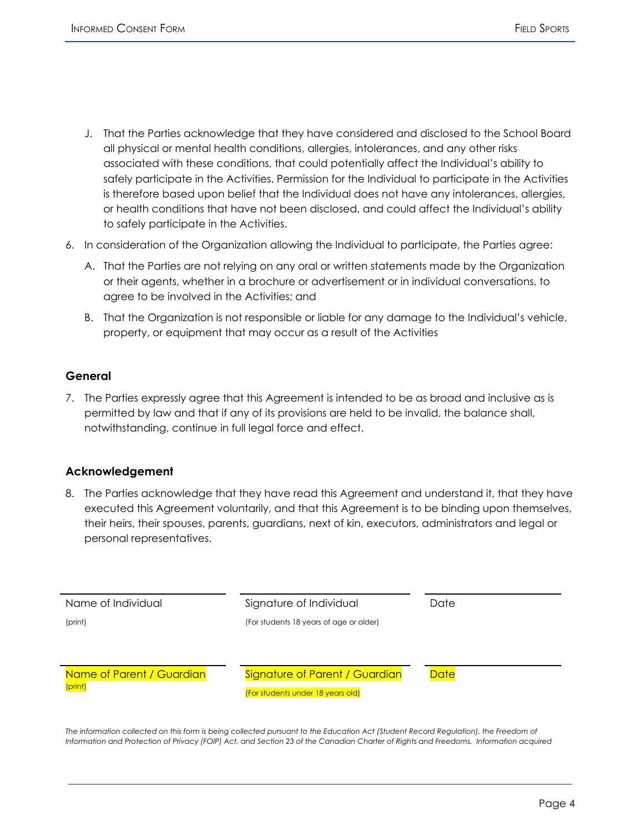- J. That the Parties acknowledge that they have considered and disclosed to the School Board all physical or mental health conditions, allergies, intolerances, and any other risks associated with these conditions, that could potentially affect the Individual's ability to safely participate in the Activities. Permission for the Individual to participate in the Activities is therefore based upon belief that the Individual does not have any intolerances, allergies, or health conditions that have not been disclosed, and could affect the Individual's ability to safely participate in the Activities.
- 6. In consideration of the Organization allowing the Individual to participate, the Parties agree:
	- A. That the Parties are not relying on any oral or written statements made by the Organization or their agents, whether in a brochure or advertisement or in individual conversations, to agree to be involved in the Activities; and
	- B. That the Organization is not responsible or liable for any damage to the Individual's vehicle, property, or equipment that may occur as a result of the Activities

## **General**

7. The Parties expressly agree that this Agreement is intended to be as broad and inclusive as is permitted by law and that if any of its provisions are held to be invalid, the balance shall, notwithstanding, continue in full legal force and effect.

## **Acknowledgement**

8. The Parties acknowledge that they have read this Agreement and understand it, that they have executed this Agreement voluntarily, and that this Agreement is to be binding upon themselves, their heirs, their spouses, parents, guardians, next of kin, executors, administrators and legal or personal representatives.

| Name of Individual<br>(print)        | Signature of Individual<br>(For students 18 years of age or older)  | Date        |
|--------------------------------------|---------------------------------------------------------------------|-------------|
|                                      |                                                                     |             |
| Name of Parent / Guardian<br>(print) | Signature of Parent / Guardian<br>(For students under 18 years old) | <b>Date</b> |

The information collected on this form is being collected pursuant to the Education Act (Student Record Regulation), the Freedom of Information and Protection of Privacy (FOIP) Act, and Section 23 of the Canadian Charter of Rights and Freedoms. Information acquired